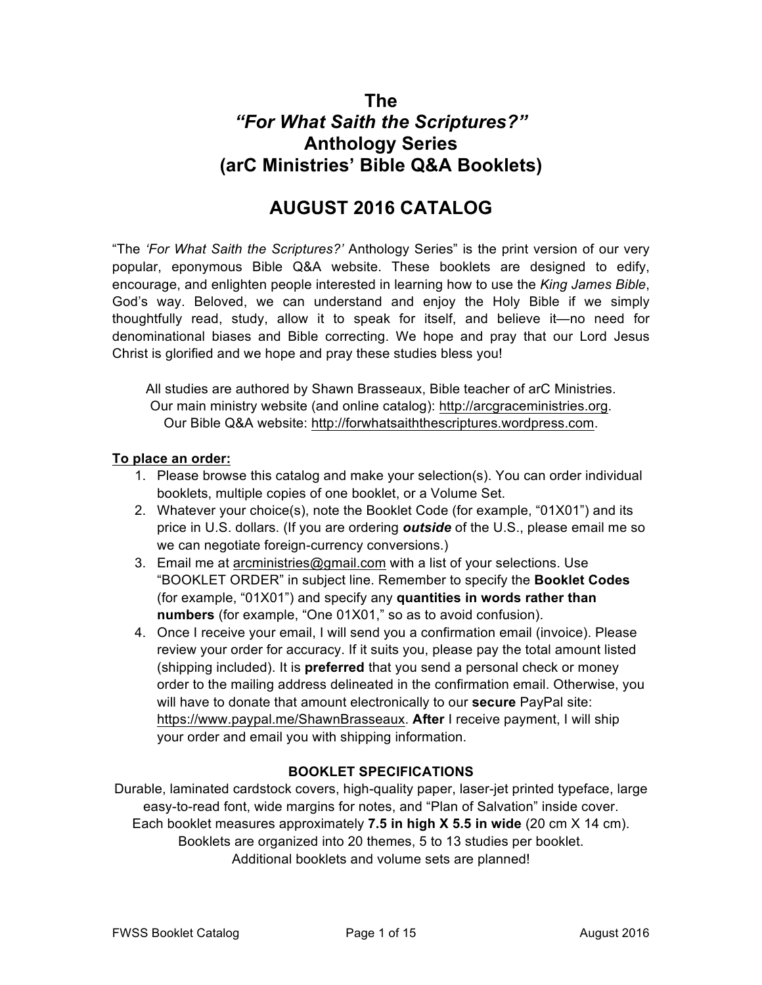# **The** *"For What Saith the Scriptures?"* **Anthology Series (arC Ministries' Bible Q&A Booklets)**

# **AUGUST 2016 CATALOG**

"The *'For What Saith the Scriptures?'* Anthology Series" is the print version of our very popular, eponymous Bible Q&A website. These booklets are designed to edify, encourage, and enlighten people interested in learning how to use the *King James Bible*, God's way. Beloved, we can understand and enjoy the Holy Bible if we simply thoughtfully read, study, allow it to speak for itself, and believe it—no need for denominational biases and Bible correcting. We hope and pray that our Lord Jesus Christ is glorified and we hope and pray these studies bless you!

All studies are authored by Shawn Brasseaux, Bible teacher of arC Ministries. Our main ministry website (and online catalog): http://arcgraceministries.org. Our Bible Q&A website: http://forwhatsaiththescriptures.wordpress.com.

#### **To place an order:**

- 1. Please browse this catalog and make your selection(s). You can order individual booklets, multiple copies of one booklet, or a Volume Set.
- 2. Whatever your choice(s), note the Booklet Code (for example, "01X01") and its price in U.S. dollars. (If you are ordering *outside* of the U.S., please email me so we can negotiate foreign-currency conversions.)
- 3. Email me at arcministries@gmail.com with a list of your selections. Use "BOOKLET ORDER" in subject line. Remember to specify the **Booklet Codes** (for example, "01X01") and specify any **quantities in words rather than numbers** (for example, "One 01X01," so as to avoid confusion).
- 4. Once I receive your email, I will send you a confirmation email (invoice). Please review your order for accuracy. If it suits you, please pay the total amount listed (shipping included). It is **preferred** that you send a personal check or money order to the mailing address delineated in the confirmation email. Otherwise, you will have to donate that amount electronically to our **secure** PayPal site: https://www.paypal.me/ShawnBrasseaux. **After** I receive payment, I will ship your order and email you with shipping information.

# **BOOKLET SPECIFICATIONS**

Durable, laminated cardstock covers, high-quality paper, laser-jet printed typeface, large easy-to-read font, wide margins for notes, and "Plan of Salvation" inside cover. Each booklet measures approximately **7.5 in high X 5.5 in wide** (20 cm X 14 cm). Booklets are organized into 20 themes, 5 to 13 studies per booklet. Additional booklets and volume sets are planned!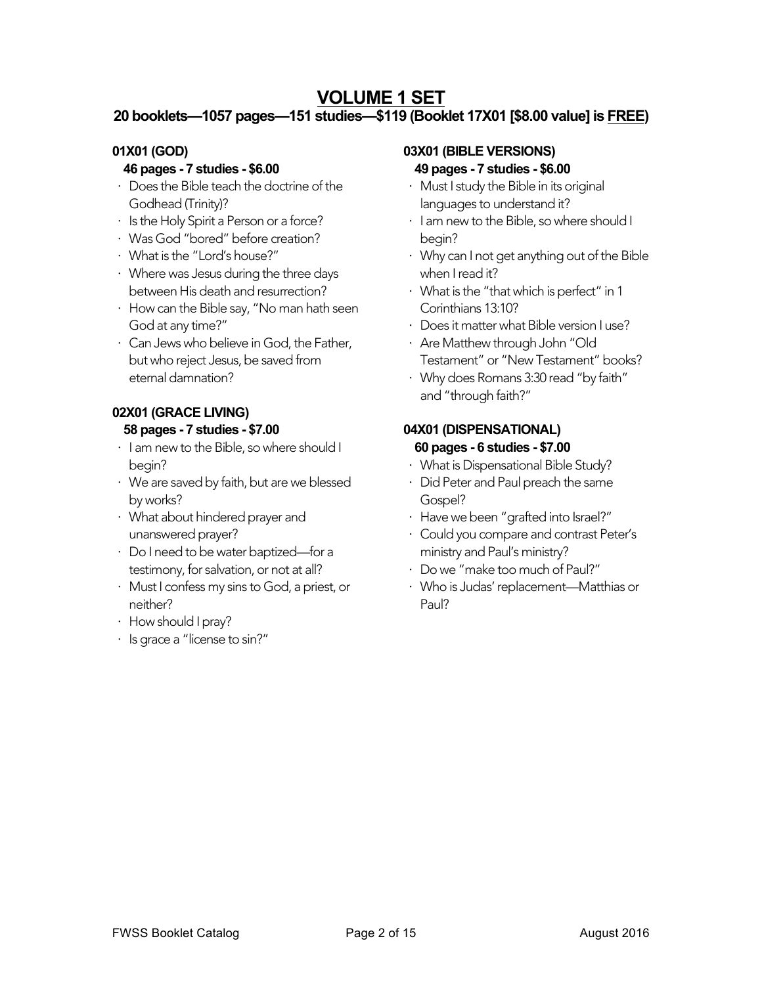# **VOLUME 1 SET**

# **20 booklets—1057 pages—151 studies—\$119 (Booklet 17X01 [\$8.00 value] is FREE)**

# **01X01 (GOD)**

# **46 pages - 7 studies - \$6.00**

- ⋅ Does the Bible teach the doctrine of the Godhead (Trinity)?
- ⋅ Is the Holy Spirit a Person or a force?
- ⋅ Was God "bored" before creation?
- ⋅ What is the "Lord's house?"
- ⋅ Where was Jesus during the three days between His death and resurrection?
- ⋅ How can the Bible say, "No man hath seen God at any time?"
- ⋅ Can Jews who believe in God, the Father, but who reject Jesus, be saved from eternal damnation?

# **02X01 (GRACE LIVING) 58 pages - 7 studies - \$7.00**

- ⋅ I am new to the Bible, so where should I begin?
- ⋅ We are saved by faith, but are we blessed by works?
- ⋅ What about hindered prayer and unanswered prayer?
- ⋅ Do I need to be water baptized—for a testimony, for salvation, or not at all?
- ⋅ Must I confess my sins to God, a priest, or neither?
- ⋅ How should I pray?
- ⋅ Is grace a "license to sin?"

# **03X01 (BIBLE VERSIONS)**

# **49 pages - 7 studies - \$6.00**

- ⋅ Must I study the Bible in its original languages to understand it?
- ⋅ I am new to the Bible, so where should I begin?
- ⋅ Why can I not get anything out of the Bible when I read it?
- ⋅ What is the "that which is perfect" in 1 Corinthians 13:10?
- ⋅ Does it matter what Bible version I use?
- ⋅ Are Matthew through John "Old Testament" or "New Testament" books?
- ⋅ Why does Romans 3:30 read "by faith" and "through faith?"

# **04X01 (DISPENSATIONAL) 60 pages - 6 studies - \$7.00**

- ⋅ What is Dispensational Bible Study?
- ⋅ Did Peter and Paul preach the same Gospel?
- ⋅ Have we been "grafted into Israel?"
- ⋅ Could you compare and contrast Peter's ministry and Paul's ministry?
- ⋅ Do we "make too much of Paul?"
- ⋅ Who is Judas' replacement—Matthias or Paul?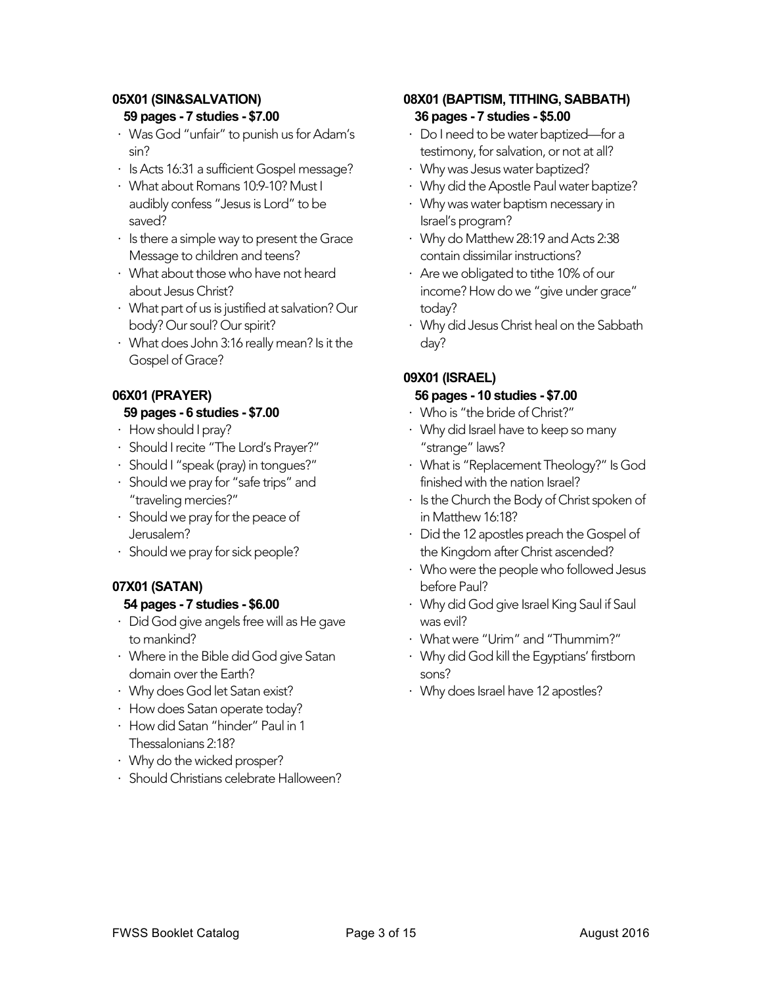# **05X01 (SIN&SALVATION)**

#### **59 pages - 7 studies - \$7.00**

- ⋅ Was God "unfair" to punish us for Adam's sin?
- ⋅ Is Acts 16:31 a sufficient Gospel message?
- ⋅ What about Romans 10:9-10? Must I audibly confess "Jesus is Lord" to be saved?
- ⋅ Is there a simple way to present the Grace Message to children and teens?
- ⋅ What about those who have not heard about Jesus Christ?
- ⋅ What part of us is justified at salvation? Our body? Our soul? Our spirit?
- ⋅ What does John 3:16 really mean? Is it the Gospel of Grace?

# **06X01 (PRAYER)**

#### **59 pages - 6 studies - \$7.00**

- ⋅ How should I pray?
- ⋅ Should I recite "The Lord's Prayer?"
- ⋅ Should I "speak (pray) in tongues?"
- ⋅ Should we pray for "safe trips" and "traveling mercies?"
- ⋅ Should we pray for the peace of Jerusalem?
- ⋅ Should we pray for sick people?

# **07X01 (SATAN)**

# **54 pages - 7 studies - \$6.00**

- ⋅ Did God give angels free will as He gave to mankind?
- ⋅ Where in the Bible did God give Satan domain over the Earth?
- ⋅ Why does God let Satan exist?
- ⋅ How does Satan operate today?
- ⋅ How did Satan "hinder" Paul in 1 Thessalonians 2:18?
- ⋅ Why do the wicked prosper?
- ⋅ Should Christians celebrate Halloween?

# **08X01 (BAPTISM, TITHING, SABBATH) 36 pages - 7 studies - \$5.00**

- ⋅ Do I need to be water baptized—for a testimony, for salvation, or not at all?
- ⋅ Why was Jesus water baptized?
- ⋅ Why did the Apostle Paul water baptize?
- ⋅ Why was water baptism necessary in Israel's program?
- ⋅ Why do Matthew 28:19 and Acts 2:38 contain dissimilar instructions?
- ⋅ Are we obligated to tithe 10% of our income? How do we "give under grace" today?
- ⋅ Why did Jesus Christ heal on the Sabbath day?

# **09X01 (ISRAEL)**

#### **56 pages - 10 studies - \$7.00**

- ⋅ Who is "the bride of Christ?"
- ⋅ Why did Israel have to keep so many "strange" laws?
- ⋅ What is "Replacement Theology?" Is God finished with the nation Israel?
- ⋅ Is the Church the Body of Christ spoken of in Matthew 16:18?
- ⋅ Did the 12 apostles preach the Gospel of the Kingdom after Christ ascended?
- ⋅ Who were the people who followed Jesus before Paul?
- ⋅ Why did God give Israel King Saul if Saul was evil?
- ⋅ What were "Urim" and "Thummim?"
- ⋅ Why did God kill the Egyptians' firstborn sons?
- ⋅ Why does Israel have 12 apostles?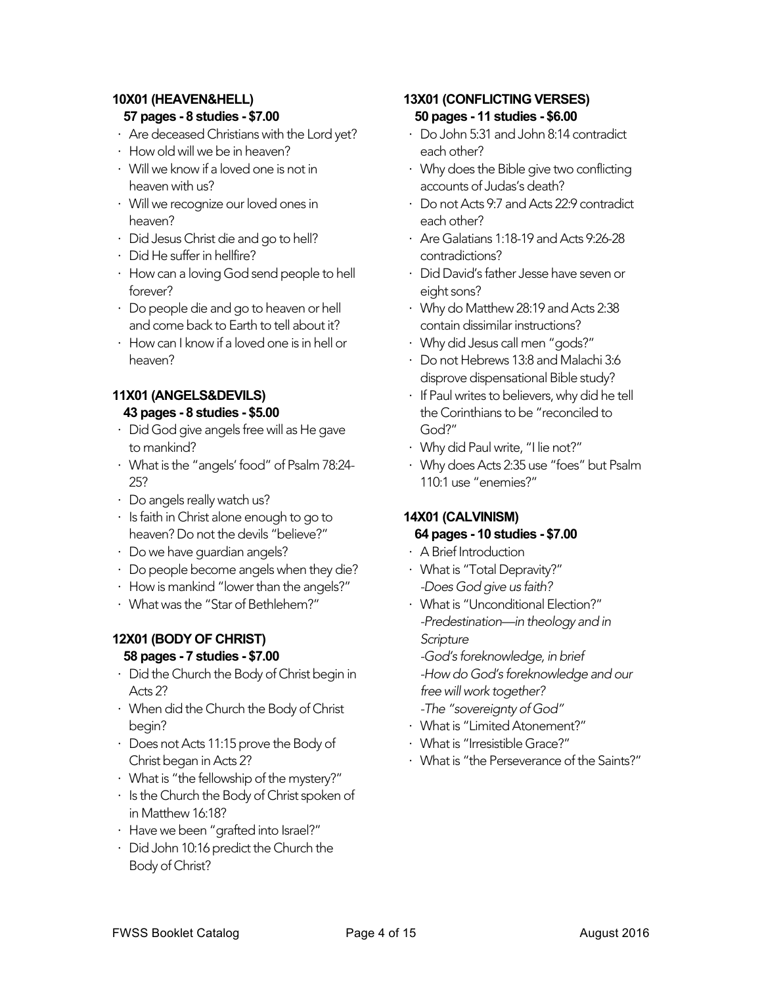# **10X01 (HEAVEN&HELL)**

#### **57 pages - 8 studies - \$7.00**

- ⋅ Are deceased Christians with the Lord yet?
- ⋅ How old will we be in heaven?
- ⋅ Will we know if a loved one is not in heaven with us?
- ⋅ Will we recognize our loved ones in heaven?
- ⋅ Did Jesus Christ die and go to hell?
- ⋅ Did He suffer in hellfire?
- ⋅ How can a loving God send people to hell forever?
- ⋅ Do people die and go to heaven or hell and come back to Earth to tell about it?
- ⋅ How can I know if a loved one is in hell or heaven?

# **11X01 (ANGELS&DEVILS) 43 pages - 8 studies - \$5.00**

- Did God give angels free will as He gave to mankind?
- ⋅ What is the "angels' food" of Psalm 78:24- 25?
- ⋅ Do angels really watch us?
- ⋅ Is faith in Christ alone enough to go to heaven? Do not the devils "believe?"
- ⋅ Do we have guardian angels?
- ⋅ Do people become angels when they die?
- ⋅ How is mankind "lower than the angels?"
- ⋅ What was the "Star of Bethlehem?"

# **12X01 (BODY OF CHRIST)**

# **58 pages - 7 studies - \$7.00**

- ⋅ Did the Church the Body of Christ begin in Acts 2?
- ⋅ When did the Church the Body of Christ begin?
- ⋅ Does not Acts 11:15 prove the Body of Christ began in Acts 2?
- ⋅ What is "the fellowship of the mystery?"
- ⋅ Is the Church the Body of Christ spoken of in Matthew 16:18?
- ⋅ Have we been "grafted into Israel?"
- ⋅ Did John 10:16 predict the Church the Body of Christ?

# **13X01 (CONFLICTING VERSES) 50 pages - 11 studies - \$6.00**

- ⋅ Do John 5:31 and John 8:14 contradict each other?
- ⋅ Why does the Bible give two conflicting accounts of Judas's death?
- ⋅ Do not Acts 9:7 and Acts 22:9 contradict each other?
- ⋅ Are Galatians 1:18-19 and Acts 9:26-28 contradictions?
- ⋅ Did David's father Jesse have seven or eight sons?
- ⋅ Why do Matthew 28:19 and Acts 2:38 contain dissimilar instructions?
- ⋅ Why did Jesus call men "gods?"
- ⋅ Do not Hebrews 13:8 and Malachi 3:6 disprove dispensational Bible study?
- ⋅ If Paul writes to believers, why did he tell the Corinthians to be "reconciled to God?"
- ⋅ Why did Paul write, "I lie not?"
- ⋅ Why does Acts 2:35 use "foes" but Psalm 110:1 use "enemies?"

# **14X01 (CALVINISM)**

#### **64 pages - 10 studies - \$7.00**

- ⋅ A Brief Introduction
- ⋅ What is "Total Depravity?" *-Does God give us faith?*
- ⋅ What is "Unconditional Election?" *-Predestination—in theology and in Scripture -God's foreknowledge, in brief*

*-How do God's foreknowledge and our free will work together?*

- *-The "sovereignty of God"*
- ⋅ What is "Limited Atonement?"
- ⋅ What is "Irresistible Grace?"
- ⋅ What is "the Perseverance of the Saints?"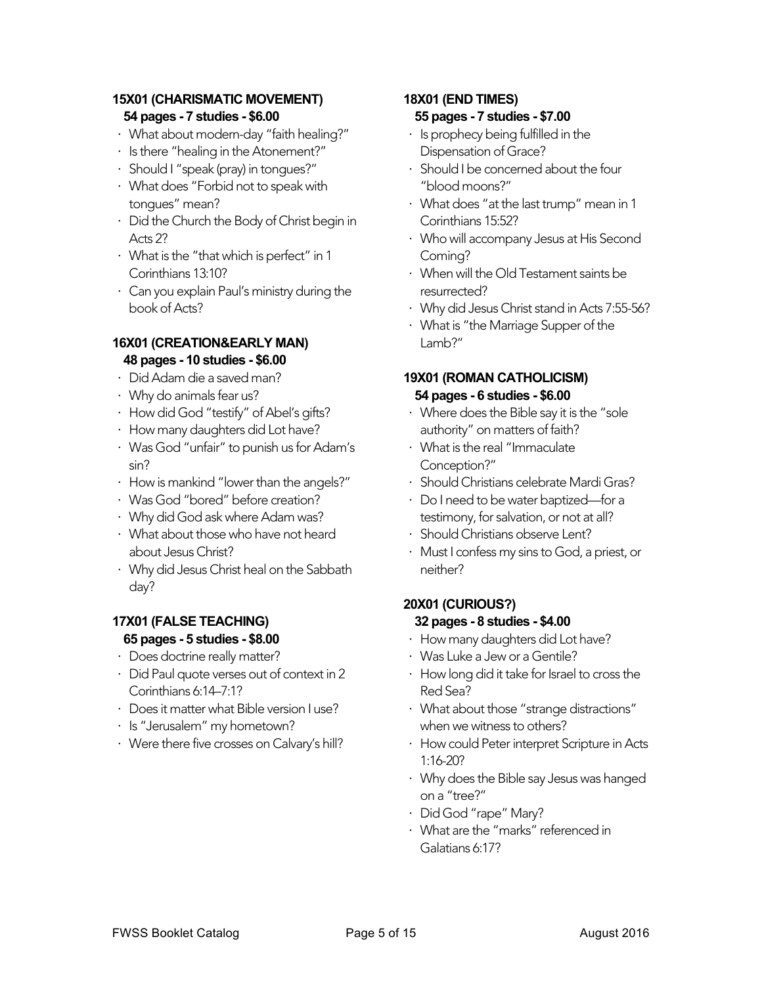# **15X01 (CHARISMATIC MOVEMENT) 54 pages - 7 studies - \$6.00**

- ⋅ What about modern-day "faith healing?"
- ⋅ Is there "healing in the Atonement?"
- ⋅ Should I "speak (pray) in tongues?"
- ⋅ What does "Forbid not to speak with tongues" mean?
- ⋅ Did the Church the Body of Christ begin in Acts 2?
- ⋅ What is the "that which is perfect" in 1 Corinthians 13:10?
- ⋅ Can you explain Paul's ministry during the book of Acts?

# **16X01 (CREATION&EARLY MAN) 48 pages - 10 studies - \$6.00**

- ⋅ Did Adam die a saved man?
- ⋅ Why do animals fear us?
- ⋅ How did God "testify" of Abel's gifts?
- ⋅ How many daughters did Lot have?
- ⋅ Was God "unfair" to punish us for Adam's sin?
- ⋅ How is mankind "lower than the angels?"
- ⋅ Was God "bored" before creation?
- ⋅ Why did God ask where Adam was?
- ⋅ What about those who have not heard about Jesus Christ?
- ⋅ Why did Jesus Christ heal on the Sabbath day?

# **17X01 (FALSE TEACHING) 65 pages - 5 studies - \$8.00**

- ⋅ Does doctrine really matter?
- ⋅ Did Paul quote verses out of context in 2 Corinthians 6:14–7:1?
- ⋅ Does it matter what Bible version I use?
- ⋅ Is "Jerusalem" my hometown?
- ⋅ Were there five crosses on Calvary's hill?

# **18X01 (END TIMES) 55 pages - 7 studies - \$7.00**

- ⋅ Is prophecy being fulfilled in the Dispensation of Grace?
- Should I be concerned about the four "blood moons?"
- ⋅ What does "at the last trump" mean in 1 Corinthians 15:52?
- ⋅ Who will accompany Jesus at His Second Coming?
- ⋅ When will the Old Testament saints be resurrected?
- ⋅ Why did Jesus Christ stand in Acts 7:55-56?
- ⋅ What is "the Marriage Supper of the Lamb?"

#### **19X01 (ROMAN CATHOLICISM) 54 pages - 6 studies - \$6.00**

- ⋅ Where does the Bible say it is the "sole authority" on matters of faith?
- ⋅ What is the real "Immaculate Conception?"
- ⋅ Should Christians celebrate Mardi Gras?
- ⋅ Do I need to be water baptized—for a testimony, for salvation, or not at all?
- ⋅ Should Christians observe Lent?
- Must I confess my sins to God, a priest, or neither?

#### **20X01 (CURIOUS?) 32 pages - 8 studies - \$4.00**

- ⋅ How many daughters did Lot have?
- ⋅ Was Luke a Jew or a Gentile?
- ⋅ How long did it take for Israel to cross the Red Sea?
- ⋅ What about those "strange distractions" when we witness to others?
- ⋅ How could Peter interpret Scripture in Acts 1:16-20?
- ⋅ Why does the Bible say Jesus was hanged on a "tree?"
- ⋅ Did God "rape" Mary?
- ⋅ What are the "marks" referenced in Galatians 6:17?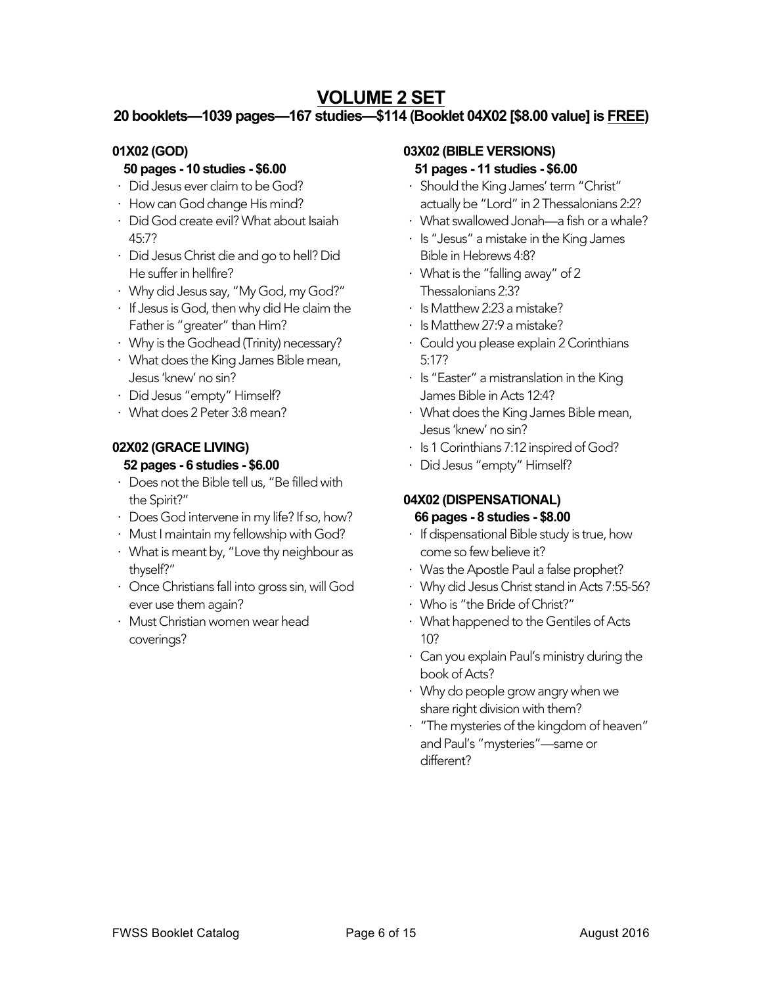# **VOLUME 2 SET**

# **20 booklets—1039 pages—167 studies—\$114 (Booklet 04X02 [\$8.00 value] is FREE)**

# **01X02 (GOD)**

# **50 pages - 10 studies - \$6.00**

- ⋅ Did Jesus ever claim to be God?
- ⋅ How can God change His mind?
- ⋅ Did God create evil? What about Isaiah 45:7?
- ⋅ Did Jesus Christ die and go to hell? Did He suffer in hellfire?
- ⋅ Why did Jesus say, "My God, my God?"
- ⋅ If Jesus is God, then why did He claim the Father is "greater" than Him?
- ⋅ Why is the Godhead (Trinity) necessary?
- ⋅ What does the King James Bible mean, Jesus 'knew' no sin?
- ⋅ Did Jesus "empty" Himself?
- ⋅ What does 2 Peter 3:8 mean?

#### **02X02 (GRACE LIVING) 52 pages - 6 studies - \$6.00**

- ⋅ Does not the Bible tell us, "Be filled with the Spirit?"
- ⋅ Does God intervene in my life? If so, how?
- ⋅ Must I maintain my fellowship with God?
- ⋅ What is meant by, "Love thy neighbour as thyself?"
- ⋅ Once Christians fall into gross sin, will God ever use them again?
- ⋅ Must Christian women wear head coverings?

#### **03X02 (BIBLE VERSIONS)**

#### **51 pages - 11 studies - \$6.00**

- ⋅ Should the King James' term "Christ" actually be "Lord" in 2 Thessalonians 2:2?
- ⋅ What swallowed Jonah—a fish or a whale?
- ⋅ Is "Jesus" a mistake in the King James Bible in Hebrews 4:8?
- ⋅ What is the "falling away" of 2 Thessalonians 2:3?
- ⋅ Is Matthew 2:23 a mistake?
- ⋅ Is Matthew 27:9 a mistake?
- ⋅ Could you please explain 2 Corinthians 5:17?
- $\cdot$  Is "Easter" a mistranslation in the King James Bible in Acts 12:4?
- ⋅ What does the King James Bible mean, Jesus 'knew' no sin?
- ⋅ Is 1 Corinthians 7:12 inspired of God?
- ⋅ Did Jesus "empty" Himself?

# **04X02 (DISPENSATIONAL) 66 pages - 8 studies - \$8.00**

- ⋅ If dispensational Bible study is true, how come so few believe it?
- ⋅ Was the Apostle Paul a false prophet?
- ⋅ Why did Jesus Christ stand in Acts 7:55-56?
- ⋅ Who is "the Bride of Christ?"
- ⋅ What happened to the Gentiles of Acts 10?
- ⋅ Can you explain Paul's ministry during the book of Acts?
- ⋅ Why do people grow angry when we share right division with them?
- ⋅ "The mysteries of the kingdom of heaven" and Paul's "mysteries"—same or different?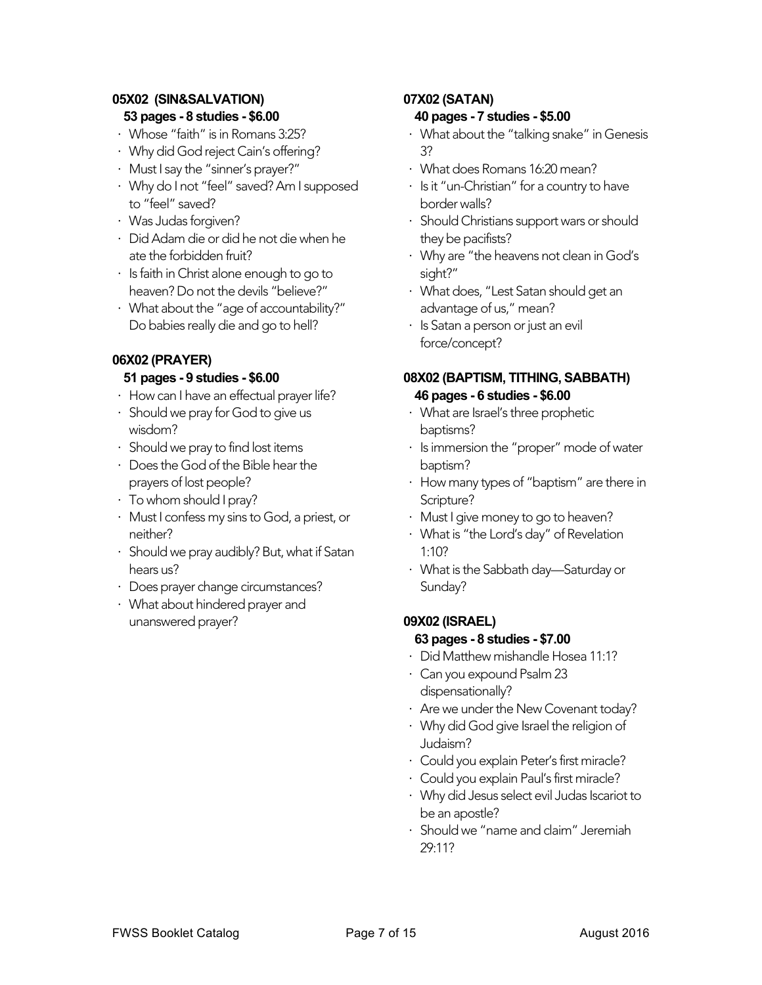#### **05X02 (SIN&SALVATION) 53 pages - 8 studies - \$6.00**

- ⋅ Whose "faith" is in Romans 3:25? ⋅ Why did God reject Cain's offering?
- 
- ⋅ Must I say the "sinner's prayer?"
- ⋅ Why do I not "feel" saved? Am I supposed to "feel" saved?
- ⋅ Was Judas forgiven?
- ⋅ Did Adam die or did he not die when he ate the forbidden fruit?
- ⋅ Is faith in Christ alone enough to go to heaven? Do not the devils "believe?"
- ⋅ What about the "age of accountability?" Do babies really die and go to hell?

# **06X02 (PRAYER)**

# **51 pages - 9 studies - \$6.00**

- ⋅ How can I have an effectual prayer life?
- ⋅ Should we pray for God to give us wisdom?
- ⋅ Should we pray to find lost items
- ⋅ Does the God of the Bible hear the prayers of lost people?
- ⋅ To whom should I pray?
- ⋅ Must I confess my sins to God, a priest, or neither?
- ⋅ Should we pray audibly? But, what if Satan hears us?
- ⋅ Does prayer change circumstances?
- ⋅ What about hindered prayer and unanswered prayer?

# **07X02 (SATAN)**

#### **40 pages - 7 studies - \$5.00**

- ⋅ What about the "talking snake" in Genesis 3?
- ⋅ What does Romans 16:20 mean?
- ⋅ Is it "un-Christian" for a country to have border walls?
- ⋅ Should Christians support wars or should they be pacifists?
- ⋅ Why are "the heavens not clean in God's sight?"
- ⋅ What does, "Lest Satan should get an advantage of us," mean?
- ⋅ Is Satan a person or just an evil force/concept?

# **08X02 (BAPTISM, TITHING, SABBATH) 46 pages - 6 studies - \$6.00**

- ⋅ What are Israel's three prophetic baptisms?
- ⋅ Is immersion the "proper" mode of water baptism?
- ⋅ How many types of "baptism" are there in Scripture?
- ⋅ Must I give money to go to heaven?
- ⋅ What is "the Lord's day" of Revelation 1:10?
- ⋅ What is the Sabbath day—Saturday or Sunday?

# **09X02 (ISRAEL)**

#### **63 pages - 8 studies - \$7.00**

- ⋅ Did Matthew mishandle Hosea 11:1?
- ⋅ Can you expound Psalm 23 dispensationally?
- ⋅ Are we under the New Covenant today?
- ⋅ Why did God give Israel the religion of Judaism?
- ⋅ Could you explain Peter's first miracle?
- ⋅ Could you explain Paul's first miracle?
- ⋅ Why did Jesus select evil Judas Iscariot to be an apostle?
- ⋅ Should we "name and claim" Jeremiah 29:11?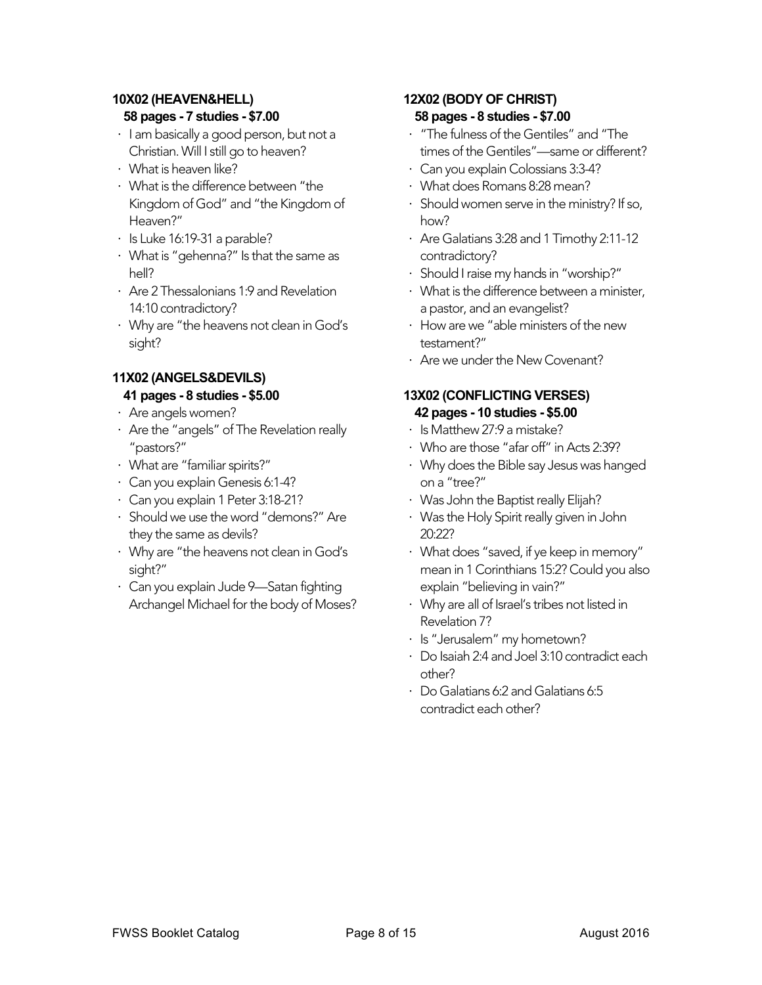# **10X02 (HEAVEN&HELL)**

# **58 pages - 7 studies - \$7.00**

- ⋅ I am basically a good person, but not a Christian. Will I still go to heaven?
- ⋅ What is heaven like?
- ⋅ What is the difference between "the Kingdom of God" and "the Kingdom of Heaven?"
- ⋅ Is Luke 16:19-31 a parable?
- ⋅ What is "gehenna?" Is that the same as hell?
- ⋅ Are 2 Thessalonians 1:9 and Revelation 14:10 contradictory?
- ⋅ Why are "the heavens not clean in God's sight?

# **11X02 (ANGELS&DEVILS) 41 pages - 8 studies - \$5.00**

- ⋅ Are angels women?
- ⋅ Are the "angels" of The Revelation really "pastors?"
- ⋅ What are "familiar spirits?"
- ⋅ Can you explain Genesis 6:1-4?
- ⋅ Can you explain 1 Peter 3:18-21?
- ⋅ Should we use the word "demons?" Are they the same as devils?
- ⋅ Why are "the heavens not clean in God's sight?"
- ⋅ Can you explain Jude 9—Satan fighting Archangel Michael for the body of Moses?

#### **12X02 (BODY OF CHRIST) 58 pages - 8 studies - \$7.00**

- ⋅ "The fulness of the Gentiles" and "The times of the Gentiles"—same or different?
- ⋅ Can you explain Colossians 3:3-4?
- ⋅ What does Romans 8:28 mean?
- ⋅ Should women serve in the ministry? If so, how?
- ⋅ Are Galatians 3:28 and 1 Timothy 2:11-12 contradictory?
- ⋅ Should I raise my hands in "worship?"
- ⋅ What is the difference between a minister, a pastor, and an evangelist?
- ⋅ How are we "able ministers of the new testament?"
- ⋅ Are we under the New Covenant?

#### **13X02 (CONFLICTING VERSES) 42 pages - 10 studies - \$5.00**

- ⋅ Is Matthew 27:9 a mistake?
- ⋅ Who are those "afar off" in Acts 2:39?
- ⋅ Why does the Bible say Jesus was hanged on a "tree?"
- ⋅ Was John the Baptist really Elijah?
- ⋅ Was the Holy Spirit really given in John 20:22?
- ⋅ What does "saved, if ye keep in memory" mean in 1 Corinthians 15:2? Could you also explain "believing in vain?"
- ⋅ Why are all of Israel's tribes not listed in Revelation 7?
- ⋅ Is "Jerusalem" my hometown?
- ⋅ Do Isaiah 2:4 and Joel 3:10 contradict each other?
- ⋅ Do Galatians 6:2 and Galatians 6:5 contradict each other?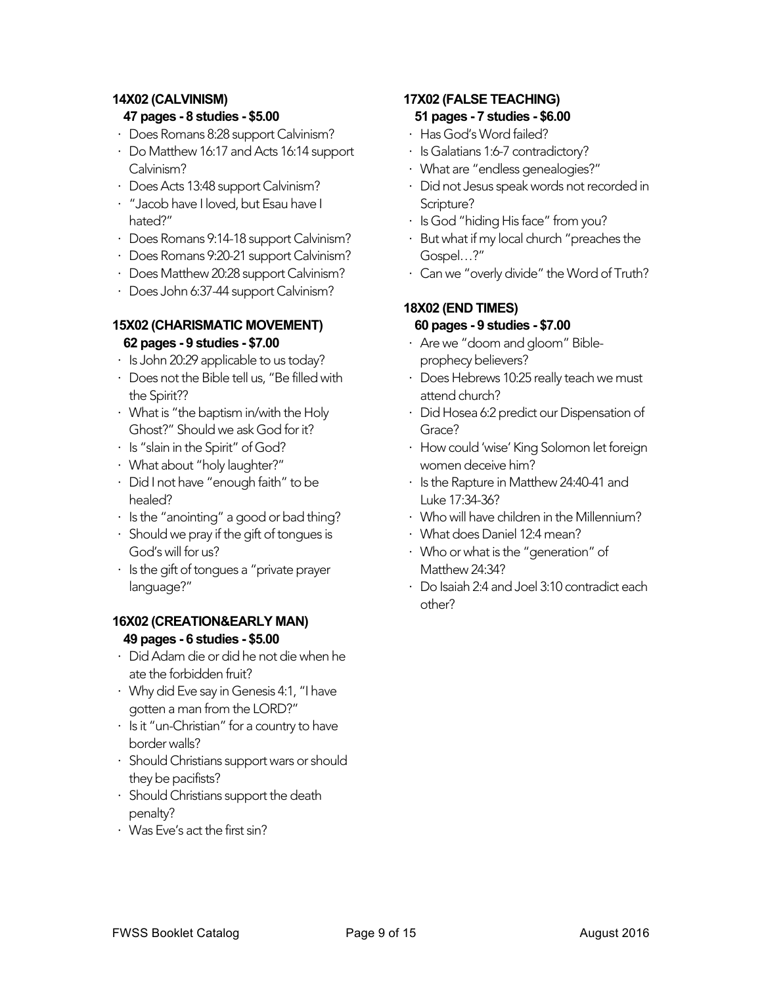#### **14X02 (CALVINISM)**

#### **47 pages - 8 studies - \$5.00**

- ⋅ Does Romans 8:28 support Calvinism?
- ⋅ Do Matthew 16:17 and Acts 16:14 support Calvinism?
- ⋅ Does Acts 13:48 support Calvinism?
- ⋅ "Jacob have I loved, but Esau have I hated?"
- ⋅ Does Romans 9:14-18 support Calvinism?
- ⋅ Does Romans 9:20-21 support Calvinism?
- ⋅ Does Matthew 20:28 support Calvinism?
- ⋅ Does John 6:37-44 support Calvinism?

#### **15X02 (CHARISMATIC MOVEMENT) 62 pages - 9 studies - \$7.00**

- ⋅ Is John 20:29 applicable to us today?
- ⋅ Does not the Bible tell us, "Be filled with the Spirit??
- ⋅ What is "the baptism in/with the Holy Ghost?" Should we ask God for it?
- ⋅ Is "slain in the Spirit" of God?
- ⋅ What about "holy laughter?"
- ⋅ Did I not have "enough faith" to be healed?
- ⋅ Is the "anointing" a good or bad thing?
- ⋅ Should we pray if the gift of tongues is God's will for us?
- ⋅ Is the gift of tongues a "private prayer language?"

# **16X02 (CREATION&EARLY MAN) 49 pages - 6 studies - \$5.00**

- ⋅ Did Adam die or did he not die when he ate the forbidden fruit?
- ⋅ Why did Eve say in Genesis 4:1, "I have gotten a man from the LORD?"
- ⋅ Is it "un-Christian" for a country to have border walls?
- ⋅ Should Christians support wars or should they be pacifists?
- ⋅ Should Christians support the death penalty?
- ⋅ Was Eve's act the first sin?

# **17X02 (FALSE TEACHING) 51 pages - 7 studies - \$6.00**

- ⋅ Has God's Word failed?
- ⋅ Is Galatians 1:6-7 contradictory?
- ⋅ What are "endless genealogies?"
- ⋅ Did not Jesus speak words not recorded in Scripture?
- ⋅ Is God "hiding His face" from you?
- ⋅ But what if my local church "preaches the Gospel…?"
- ⋅ Can we "overly divide" the Word of Truth?

# **18X02 (END TIMES) 60 pages - 9 studies - \$7.00**

- ⋅ Are we "doom and gloom" Bibleprophecy believers?
- ⋅ Does Hebrews 10:25 really teach we must attend church?
- ⋅ Did Hosea 6:2 predict our Dispensation of Grace?
- ⋅ How could 'wise' King Solomon let foreign women deceive him?
- ⋅ Is the Rapture in Matthew 24:40-41 and Luke 17:34-36?
- ⋅ Who will have children in the Millennium?
- ⋅ What does Daniel 12:4 mean?
- ⋅ Who or what is the "generation" of Matthew 24:34?
- ⋅ Do Isaiah 2:4 and Joel 3:10 contradict each other?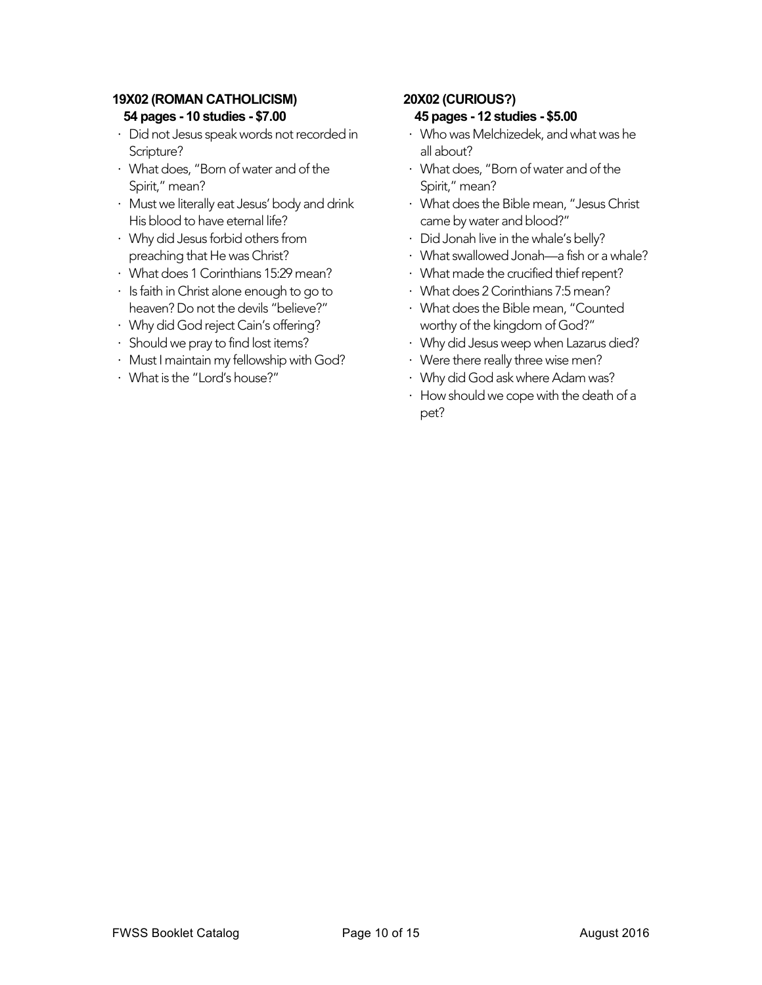# **19X02 (ROMAN CATHOLICISM) 54 pages - 10 studies - \$7.00**

- ⋅ Did not Jesus speak words not recorded in Scripture?
- ⋅ What does, "Born of water and of the Spirit," mean?
- ⋅ Must we literally eat Jesus' body and drink His blood to have eternal life?
- ⋅ Why did Jesus forbid others from preaching that He was Christ?
- ⋅ What does 1 Corinthians 15:29 mean?
- ⋅ Is faith in Christ alone enough to go to heaven? Do not the devils "believe?"
- ⋅ Why did God reject Cain's offering?
- ⋅ Should we pray to find lost items?
- ⋅ Must I maintain my fellowship with God?
- ⋅ What is the "Lord's house?"

# **20X02 (CURIOUS?)**

#### **45 pages - 12 studies - \$5.00**

- ⋅ Who was Melchizedek, and what was he all about?
- ⋅ What does, "Born of water and of the Spirit," mean?
- ⋅ What does the Bible mean, "Jesus Christ came by water and blood?"
- ⋅ Did Jonah live in the whale's belly?
- ⋅ What swallowed Jonah—a fish or a whale?
- ⋅ What made the crucified thief repent?
- ⋅ What does 2 Corinthians 7:5 mean?
- ⋅ What does the Bible mean, "Counted worthy of the kingdom of God?"
- ⋅ Why did Jesus weep when Lazarus died?
- ⋅ Were there really three wise men?
- ⋅ Why did God ask where Adam was?
- ⋅ How should we cope with the death of a pet?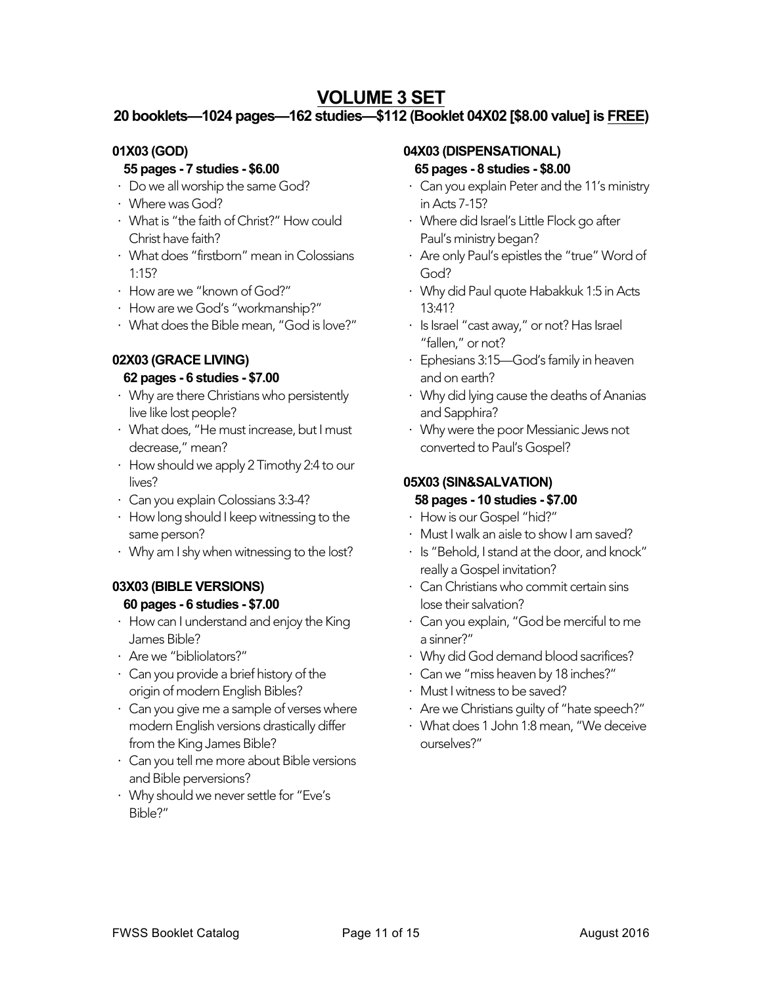# **VOLUME 3 SET**

# **20 booklets—1024 pages—162 studies—\$112 (Booklet 04X02 [\$8.00 value] is FREE)**

# **01X03 (GOD)**

# **55 pages - 7 studies - \$6.00**

- ⋅ Do we all worship the same God?
- ⋅ Where was God?
- ⋅ What is "the faith of Christ?" How could Christ have faith?
- ⋅ What does "firstborn" mean in Colossians 1:15?
- ⋅ How are we "known of God?"
- ⋅ How are we God's "workmanship?"
- ⋅ What does the Bible mean, "God is love?"

# **02X03 (GRACE LIVING)**

#### **62 pages - 6 studies - \$7.00**

- ⋅ Why are there Christians who persistently live like lost people?
- ⋅ What does, "He must increase, but I must decrease," mean?
- ⋅ How should we apply 2 Timothy 2:4 to our lives?
- ⋅ Can you explain Colossians 3:3-4?
- ⋅ How long should I keep witnessing to the same person?
- ⋅ Why am I shy when witnessing to the lost?

# **03X03 (BIBLE VERSIONS) 60 pages - 6 studies - \$7.00**

- ⋅ How can I understand and enjoy the King James Bible?
- ⋅ Are we "bibliolators?"
- ⋅ Can you provide a brief history of the origin of modern English Bibles?
- ⋅ Can you give me a sample of verses where modern English versions drastically differ from the King James Bible?
- ⋅ Can you tell me more about Bible versions and Bible perversions?
- ⋅ Why should we never settle for "Eve's Bible?"

#### **04X03 (DISPENSATIONAL)**

#### **65 pages - 8 studies - \$8.00**

- ⋅ Can you explain Peter and the 11's ministry in Acts 7-15?
- ⋅ Where did Israel's Little Flock go after Paul's ministry began?
- ⋅ Are only Paul's epistles the "true" Word of God?
- ⋅ Why did Paul quote Habakkuk 1:5 in Acts 13:41?
- ⋅ Is Israel "cast away," or not? Has Israel "fallen," or not?
- ⋅ Ephesians 3:15—God's family in heaven and on earth?
- ⋅ Why did lying cause the deaths of Ananias and Sapphira?
- ⋅ Why were the poor Messianic Jews not converted to Paul's Gospel?

# **05X03 (SIN&SALVATION)**

#### **58 pages - 10 studies - \$7.00**

- ⋅ How is our Gospel "hid?"
- ⋅ Must I walk an aisle to show I am saved?
- ⋅ Is "Behold, I stand at the door, and knock" really a Gospel invitation?
- ⋅ Can Christians who commit certain sins lose their salvation?
- ⋅ Can you explain, "God be merciful to me a sinner?"
- ⋅ Why did God demand blood sacrifices?
- ⋅ Can we "miss heaven by 18 inches?"
- ⋅ Must I witness to be saved?
- ⋅ Are we Christians guilty of "hate speech?"
- ⋅ What does 1 John 1:8 mean, "We deceive ourselves?"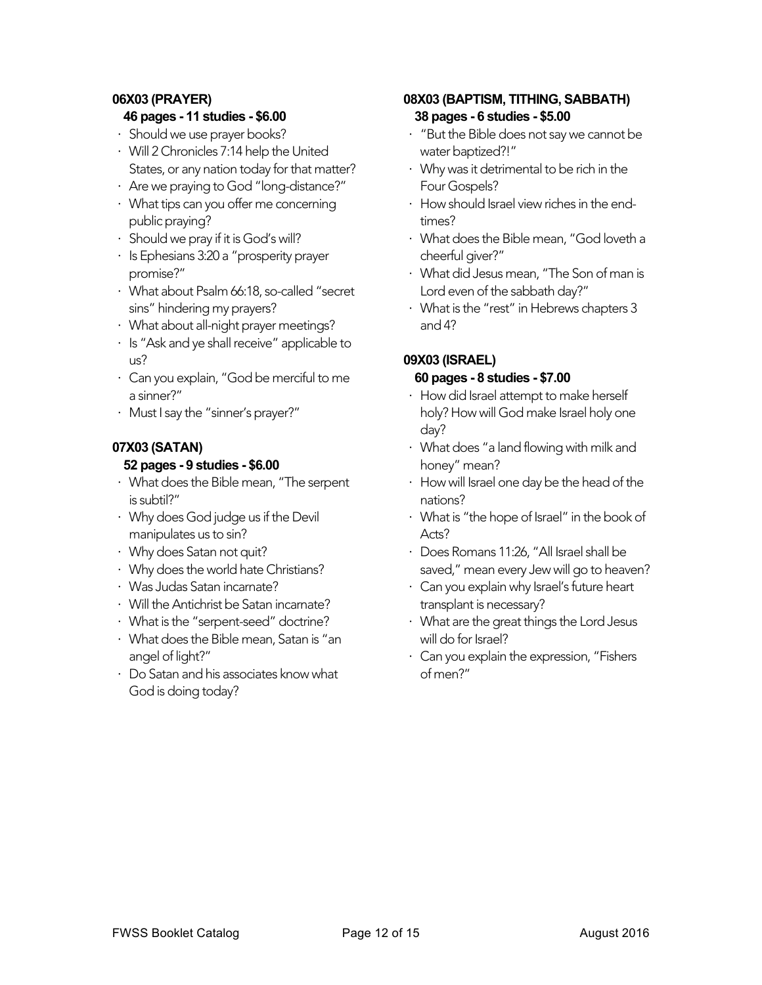#### **06X03 (PRAYER)**

#### **46 pages - 11 studies - \$6.00**

- ⋅ Should we use prayer books?
- ⋅ Will 2 Chronicles 7:14 help the United States, or any nation today for that matter?
- ⋅ Are we praying to God "long-distance?"
- ⋅ What tips can you offer me concerning public praying?
- ⋅ Should we pray if it is God's will?
- ⋅ Is Ephesians 3:20 a "prosperity prayer promise?"
- ⋅ What about Psalm 66:18, so-called "secret sins" hindering my prayers?
- ⋅ What about all-night prayer meetings?
- ⋅ Is "Ask and ye shall receive" applicable to us?
- ⋅ Can you explain, "God be merciful to me a sinner?"
- ⋅ Must I say the "sinner's prayer?"

#### **07X03 (SATAN) 52 pages - 9 studies - \$6.00**

- ⋅ What does the Bible mean, "The serpent is subtil?"
- ⋅ Why does God judge us if the Devil manipulates us to sin?
- ⋅ Why does Satan not quit?
- ⋅ Why does the world hate Christians?
- ⋅ Was Judas Satan incarnate?
- ⋅ Will the Antichrist be Satan incarnate?
- ⋅ What is the "serpent-seed" doctrine?
- ⋅ What does the Bible mean, Satan is "an angel of light?"
- ⋅ Do Satan and his associates know what God is doing today?

# **08X03 (BAPTISM, TITHING, SABBATH) 38 pages - 6 studies - \$5.00**

- ⋅ "But the Bible does not say we cannot be water baptized?!"
- ⋅ Why was it detrimental to be rich in the Four Gospels?
- ⋅ How should Israel view riches in the endtimes?
- ⋅ What does the Bible mean, "God loveth a cheerful giver?"
- ⋅ What did Jesus mean, "The Son of man is Lord even of the sabbath day?"
- ⋅ What is the "rest" in Hebrews chapters 3 and 4?

# **09X03 (ISRAEL)**

#### **60 pages - 8 studies - \$7.00**

- ⋅ How did Israel attempt to make herself holy? How will God make Israel holy one day?
- ⋅ What does "a land flowing with milk and honey" mean?
- ⋅ How will Israel one day be the head of the nations?
- ⋅ What is "the hope of Israel" in the book of Acts?
- ⋅ Does Romans 11:26, "All Israel shall be saved," mean every Jew will go to heaven?
- ⋅ Can you explain why Israel's future heart transplant is necessary?
- ⋅ What are the great things the Lord Jesus will do for Israel?
- ⋅ Can you explain the expression, "Fishers of men?"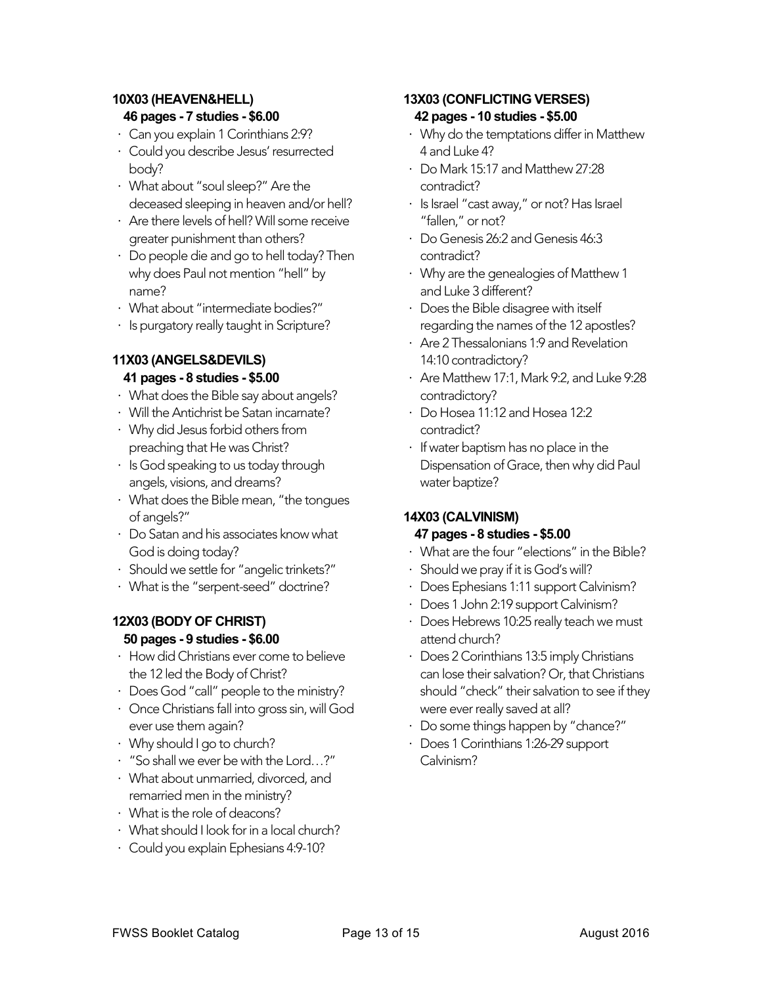# **10X03 (HEAVEN&HELL) 46 pages - 7 studies - \$6.00**

- ⋅ Can you explain 1 Corinthians 2:9?
- ⋅ Could you describe Jesus' resurrected body?
- ⋅ What about "soul sleep?" Are the deceased sleeping in heaven and/or hell?
- ⋅ Are there levels of hell? Will some receive greater punishment than others?
- ⋅ Do people die and go to hell today? Then why does Paul not mention "hell" by name?
- ⋅ What about "intermediate bodies?"
- ⋅ Is purgatory really taught in Scripture?

# **11X03 (ANGELS&DEVILS)**

# **41 pages - 8 studies - \$5.00**

- ⋅ What does the Bible say about angels?
- ⋅ Will the Antichrist be Satan incarnate?
- ⋅ Why did Jesus forbid others from preaching that He was Christ?
- ⋅ Is God speaking to us today through angels, visions, and dreams?
- ⋅ What does the Bible mean, "the tongues of angels?"
- ⋅ Do Satan and his associates know what God is doing today?
- ⋅ Should we settle for "angelic trinkets?"
- ⋅ What is the "serpent-seed" doctrine?

# **12X03 (BODY OF CHRIST) 50 pages - 9 studies - \$6.00**

- ⋅ How did Christians ever come to believe the 12 led the Body of Christ?
- ⋅ Does God "call" people to the ministry?
- ⋅ Once Christians fall into gross sin, will God ever use them again?
- ⋅ Why should I go to church?
- ⋅ "So shall we ever be with the Lord…?"
- ⋅ What about unmarried, divorced, and remarried men in the ministry?
- ⋅ What is the role of deacons?
- ⋅ What should I look for in a local church?
- ⋅ Could you explain Ephesians 4:9-10?

# **13X03 (CONFLICTING VERSES) 42 pages - 10 studies - \$5.00**

- ⋅ Why do the temptations differ in Matthew 4 and Luke 4?
- ⋅ Do Mark 15:17 and Matthew 27:28 contradict?
- ⋅ Is Israel "cast away," or not? Has Israel "fallen," or not?
- ⋅ Do Genesis 26:2 and Genesis 46:3 contradict?
- ⋅ Why are the genealogies of Matthew 1 and Luke 3 different?
- ⋅ Does the Bible disagree with itself regarding the names of the 12 apostles?
- ⋅ Are 2 Thessalonians 1:9 and Revelation 14:10 contradictory?
- ⋅ Are Matthew 17:1, Mark 9:2, and Luke 9:28 contradictory?
- ⋅ Do Hosea 11:12 and Hosea 12:2 contradict?
- ⋅ If water baptism has no place in the Dispensation of Grace, then why did Paul water baptize?

# **14X03 (CALVINISM)**

# **47 pages - 8 studies - \$5.00**

- ⋅ What are the four "elections" in the Bible?
- ⋅ Should we pray if it is God's will?
- ⋅ Does Ephesians 1:11 support Calvinism?
- ⋅ Does 1 John 2:19 support Calvinism?
- ⋅ Does Hebrews 10:25 really teach we must attend church?
- ⋅ Does 2 Corinthians 13:5 imply Christians can lose their salvation? Or, that Christians should "check" their salvation to see if they were ever really saved at all?
- ⋅ Do some things happen by "chance?"
- ⋅ Does 1 Corinthians 1:26-29 support Calvinism?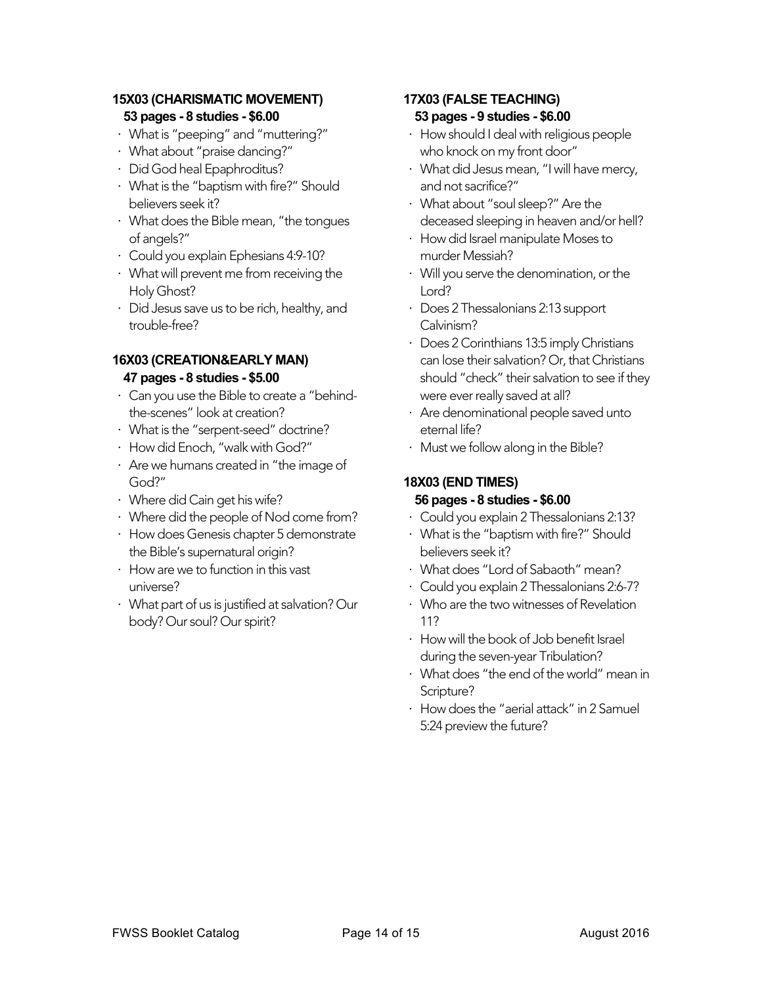# **15X03 (CHARISMATIC MOVEMENT) 53 pages - 8 studies - \$6.00**

- ⋅ What is "peeping" and "muttering?"
- ⋅ What about "praise dancing?"
- ⋅ Did God heal Epaphroditus?
- ⋅ What is the "baptism with fire?" Should believers seek it?
- ⋅ What does the Bible mean, "the tongues of angels?"
- ⋅ Could you explain Ephesians 4:9-10?
- ⋅ What will prevent me from receiving the Holy Ghost?
- ⋅ Did Jesus save us to be rich, healthy, and trouble-free?

#### **16X03 (CREATION&EARLY MAN) 47 pages - 8 studies - \$5.00**

- ⋅ Can you use the Bible to create a "behindthe-scenes" look at creation?
- ⋅ What is the "serpent-seed" doctrine?
- ⋅ How did Enoch, "walk with God?"
- ⋅ Are we humans created in "the image of God?"
- ⋅ Where did Cain get his wife?
- ⋅ Where did the people of Nod come from?
- ⋅ How does Genesis chapter 5 demonstrate the Bible's supernatural origin?
- ⋅ How are we to function in this vast universe?
- ⋅ What part of us is justified at salvation? Our body? Our soul? Our spirit?

#### **17X03 (FALSE TEACHING) 53 pages - 9 studies - \$6.00**

- ⋅ How should I deal with religious people who knock on my front door"
- ⋅ What did Jesus mean, "I will have mercy, and not sacrifice?"
- ⋅ What about "soul sleep?" Are the deceased sleeping in heaven and/or hell?
- ⋅ How did Israel manipulate Moses to murder Messiah?
- ⋅ Will you serve the denomination, or the Lord?
- ⋅ Does 2 Thessalonians 2:13 support Calvinism?
- ⋅ Does 2 Corinthians 13:5 imply Christians can lose their salvation? Or, that Christians should "check" their salvation to see if they were ever really saved at all?
- ⋅ Are denominational people saved unto eternal life?
- ⋅ Must we follow along in the Bible?

# **18X03 (END TIMES)**

#### **56 pages - 8 studies - \$6.00**

- ⋅ Could you explain 2 Thessalonians 2:13?
- ⋅ What is the "baptism with fire?" Should believers seek it?
- ⋅ What does "Lord of Sabaoth" mean?
- ⋅ Could you explain 2 Thessalonians 2:6-7?
- ⋅ Who are the two witnesses of Revelation 11?
- ⋅ How will the book of Job benefit Israel during the seven-year Tribulation?
- ⋅ What does "the end of the world" mean in Scripture?
- ⋅ How does the "aerial attack" in 2 Samuel 5:24 preview the future?